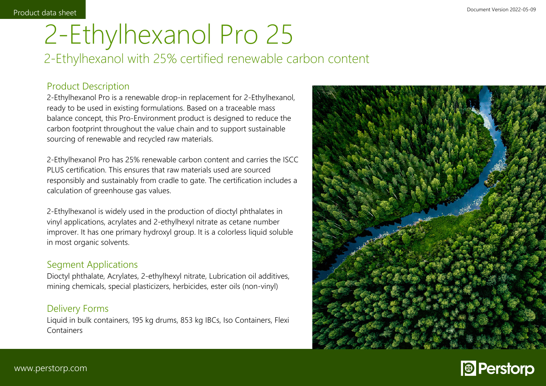### 2 2-Ethylhexanol Pro 25 2-Ethylhexanol with 25% certified renewable carbon content

## Product Description

2-Ethylhexanol Pro is a renewable drop-in replacement for 2-Ethylhexanol, ready to be used in existing formulations. Based on a traceable mass balance concept, this Pro-Environment product is designed to reduce the carbon footprint throughout the value chain and to support sustainable sourcing of renewable and recycled raw materials.

2-Ethylhexanol Pro has 25% renewable carbon content and carries the ISCC PLUS certification. This ensures that raw materials used are sourced responsibly and sustainably from cradle to gate. The certification includes a calculation of greenhouse gas values.

2-Ethylhexanol is widely used in the production of dioctyl phthalates in vinyl applications, acrylates and 2-ethylhexyl nitrate as cetane number improver. It has one primary hydroxyl group. It is a colorless liquid soluble in most organic solvents.

### Segment Applications

Dioctyl phthalate, Acrylates, 2-ethylhexyl nitrate, Lubrication oil additives, mining chemicals, special plasticizers, herbicides, ester oils (non-vinyl)

### Delivery Forms

Liquid in bulk containers, 195 kg drums, 853 kg IBCs, Iso Containers, Flexi **Containers**